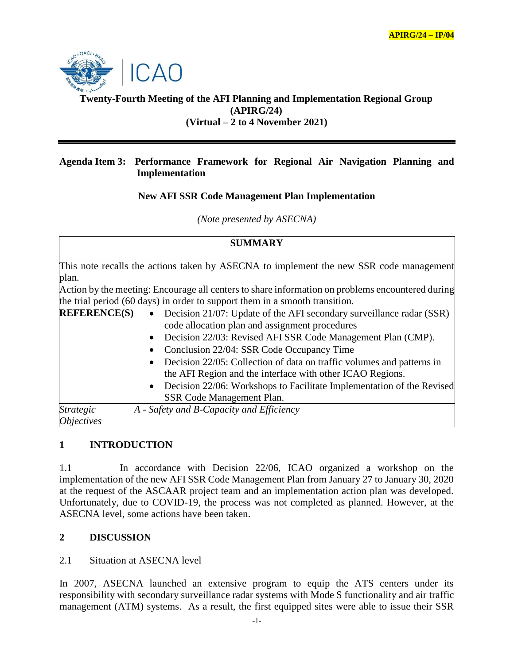

## **Twenty-Fourth Meeting of the AFI Planning and Implementation Regional Group (APIRG/24) (Virtual – 2 to 4 November 2021)**

#### **Agenda Item 3: Performance Framework for Regional Air Navigation Planning and Implementation**

## **New AFI SSR Code Management Plan Implementation**

*(Note presented by ASECNA)*

| <b>SUMMARY</b>                                                                                                                                                                                                                                                                     |                                                                                                                                                                                                                                                                                                                                                                                                                                                                                                                         |
|------------------------------------------------------------------------------------------------------------------------------------------------------------------------------------------------------------------------------------------------------------------------------------|-------------------------------------------------------------------------------------------------------------------------------------------------------------------------------------------------------------------------------------------------------------------------------------------------------------------------------------------------------------------------------------------------------------------------------------------------------------------------------------------------------------------------|
| This note recalls the actions taken by ASECNA to implement the new SSR code management<br>plan.<br>Action by the meeting: Encourage all centers to share information on problems encountered during<br>the trial period (60 days) in order to support them in a smooth transition. |                                                                                                                                                                                                                                                                                                                                                                                                                                                                                                                         |
| <b>REFERENCE(S)</b>                                                                                                                                                                                                                                                                | • Decision 21/07: Update of the AFI secondary surveillance radar (SSR)<br>code allocation plan and assignment procedures<br>Decision 22/03: Revised AFI SSR Code Management Plan (CMP).<br>Conclusion 22/04: SSR Code Occupancy Time<br>$\bullet$<br>Decision 22/05: Collection of data on traffic volumes and patterns in<br>$\bullet$<br>the AFI Region and the interface with other ICAO Regions.<br>Decision 22/06: Workshops to Facilitate Implementation of the Revised<br>$\bullet$<br>SSR Code Management Plan. |
| <b>Strategic</b><br><i><b>Objectives</b></i>                                                                                                                                                                                                                                       | A - Safety and B-Capacity and Efficiency                                                                                                                                                                                                                                                                                                                                                                                                                                                                                |

# **1 INTRODUCTION**

1.1 In accordance with Decision 22/06, ICAO organized a workshop on the implementation of the new AFI SSR Code Management Plan from January 27 to January 30, 2020 at the request of the ASCAAR project team and an implementation action plan was developed. Unfortunately, due to COVID-19, the process was not completed as planned. However, at the ASECNA level, some actions have been taken.

## **2 DISCUSSION**

## 2.1 Situation at ASECNA level

In 2007, ASECNA launched an extensive program to equip the ATS centers under its responsibility with secondary surveillance radar systems with Mode S functionality and air traffic management (ATM) systems. As a result, the first equipped sites were able to issue their SSR